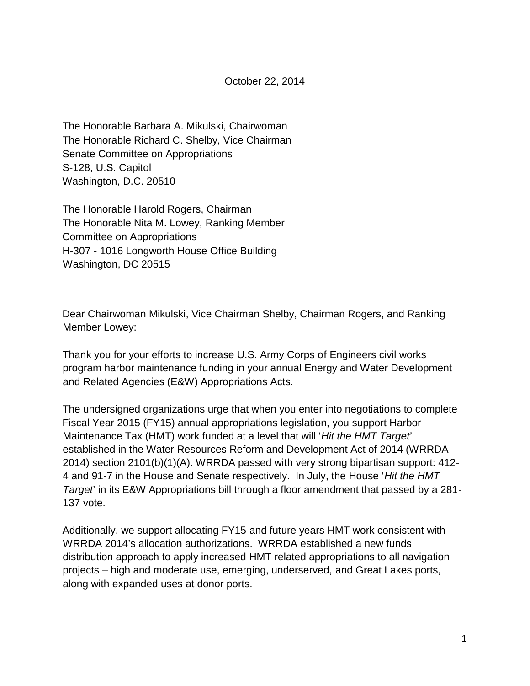The Honorable Barbara A. Mikulski, Chairwoman The Honorable Richard C. Shelby, Vice Chairman Senate Committee on Appropriations S-128, U.S. Capitol Washington, D.C. 20510

The Honorable Harold Rogers, Chairman The Honorable Nita M. Lowey, Ranking Member Committee on Appropriations H-307 - 1016 Longworth House Office Building Washington, DC 20515

Dear Chairwoman Mikulski, Vice Chairman Shelby, Chairman Rogers, and Ranking Member Lowey:

Thank you for your efforts to increase U.S. Army Corps of Engineers civil works program harbor maintenance funding in your annual Energy and Water Development and Related Agencies (E&W) Appropriations Acts.

The undersigned organizations urge that when you enter into negotiations to complete Fiscal Year 2015 (FY15) annual appropriations legislation, you support Harbor Maintenance Tax (HMT) work funded at a level that will '*Hit the HMT Target*' established in the Water Resources Reform and Development Act of 2014 (WRRDA 2014) section 2101(b)(1)(A). WRRDA passed with very strong bipartisan support: 412- 4 and 91-7 in the House and Senate respectively. In July, the House '*Hit the HMT Target*' in its E&W Appropriations bill through a floor amendment that passed by a 281- 137 vote.

Additionally, we support allocating FY15 and future years HMT work consistent with WRRDA 2014's allocation authorizations. WRRDA established a new funds distribution approach to apply increased HMT related appropriations to all navigation projects – high and moderate use, emerging, underserved, and Great Lakes ports, along with expanded uses at donor ports.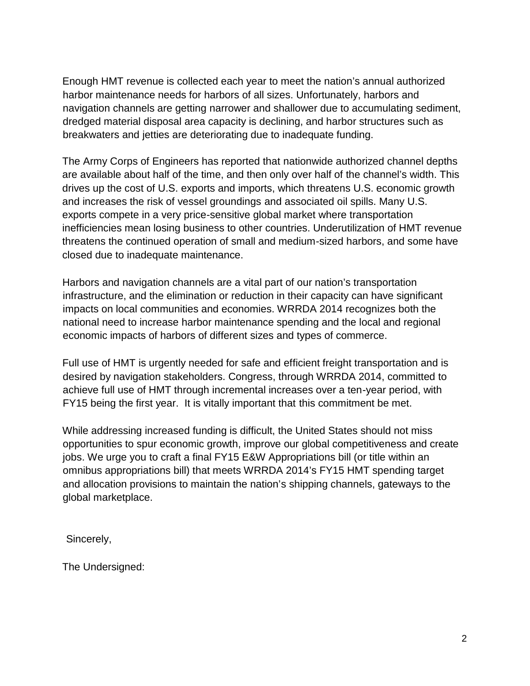Enough HMT revenue is collected each year to meet the nation's annual authorized harbor maintenance needs for harbors of all sizes. Unfortunately, harbors and navigation channels are getting narrower and shallower due to accumulating sediment, dredged material disposal area capacity is declining, and harbor structures such as breakwaters and jetties are deteriorating due to inadequate funding.

The Army Corps of Engineers has reported that nationwide authorized channel depths are available about half of the time, and then only over half of the channel's width. This drives up the cost of U.S. exports and imports, which threatens U.S. economic growth and increases the risk of vessel groundings and associated oil spills. Many U.S. exports compete in a very price-sensitive global market where transportation inefficiencies mean losing business to other countries. Underutilization of HMT revenue threatens the continued operation of small and medium-sized harbors, and some have closed due to inadequate maintenance.

Harbors and navigation channels are a vital part of our nation's transportation infrastructure, and the elimination or reduction in their capacity can have significant impacts on local communities and economies. WRRDA 2014 recognizes both the national need to increase harbor maintenance spending and the local and regional economic impacts of harbors of different sizes and types of commerce.

Full use of HMT is urgently needed for safe and efficient freight transportation and is desired by navigation stakeholders. Congress, through WRRDA 2014, committed to achieve full use of HMT through incremental increases over a ten-year period, with FY15 being the first year. It is vitally important that this commitment be met.

While addressing increased funding is difficult, the United States should not miss opportunities to spur economic growth, improve our global competitiveness and create jobs. We urge you to craft a final FY15 E&W Appropriations bill (or title within an omnibus appropriations bill) that meets WRRDA 2014's FY15 HMT spending target and allocation provisions to maintain the nation's shipping channels, gateways to the global marketplace.

Sincerely,

The Undersigned: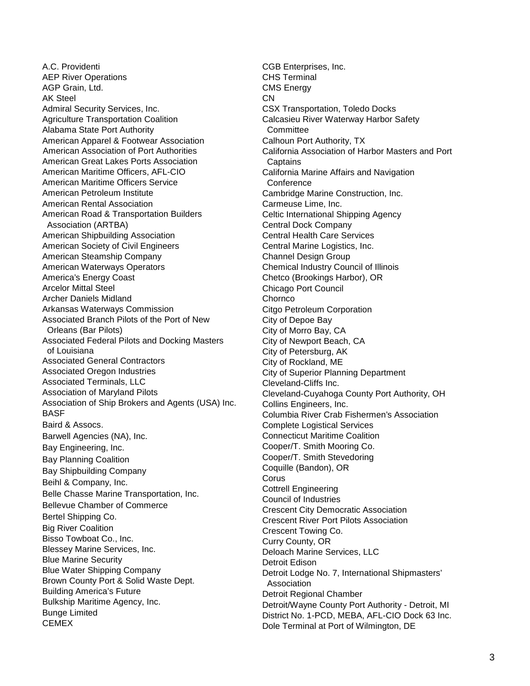A.C. Providenti AEP River Operations AGP Grain, Ltd. AK Steel Admiral Security Services, Inc. Agriculture Transportation Coalition Alabama State Port Authority American Apparel & Footwear Association American Association of Port Authorities American Great Lakes Ports Association American Maritime Officers, AFL-CIO American Maritime Officers Service American Petroleum Institute American Rental Association American Road & Transportation Builders Association (ARTBA) American Shipbuilding Association American Society of Civil Engineers American Steamship Company American Waterways Operators America's Energy Coast Arcelor Mittal Steel Archer Daniels Midland Arkansas Waterways Commission Associated Branch Pilots of the Port of New Orleans (Bar Pilots) Associated Federal Pilots and Docking Masters of Louisiana Associated General Contractors Associated Oregon Industries Associated Terminals, LLC Association of Maryland Pilots Association of Ship Brokers and Agents (USA) Inc. BASF Baird & Assocs. Barwell Agencies (NA), Inc. Bay Engineering, Inc. Bay Planning Coalition Bay Shipbuilding Company Beihl & Company, Inc. Belle Chasse Marine Transportation, Inc. Bellevue Chamber of Commerce Bertel Shipping Co. Big River Coalition Bisso Towboat Co., Inc. Blessey Marine Services, Inc. Blue Marine Security Blue Water Shipping Company Brown County Port & Solid Waste Dept. Building America's Future Bulkship Maritime Agency, Inc. Bunge Limited CEMEX

CGB Enterprises, Inc. CHS Terminal CMS Energy CN CSX Transportation, Toledo Docks Calcasieu River Waterway Harbor Safety **Committee** Calhoun Port Authority, TX California Association of Harbor Masters and Port **Captains** California Marine Affairs and Navigation **Conference** Cambridge Marine Construction, Inc. Carmeuse Lime, Inc. Celtic International Shipping Agency Central Dock Company Central Health Care Services Central Marine Logistics, Inc. Channel Design Group Chemical Industry Council of Illinois Chetco (Brookings Harbor), OR Chicago Port Council Chornco Citgo Petroleum Corporation City of Depoe Bay City of Morro Bay, CA City of Newport Beach, CA City of Petersburg, AK City of Rockland, ME City of Superior Planning Department Cleveland-Cliffs Inc. Cleveland-Cuyahoga County Port Authority, OH Collins Engineers, Inc. Columbia River Crab Fishermen's Association Complete Logistical Services Connecticut Maritime Coalition Cooper/T. Smith Mooring Co. Cooper/T. Smith Stevedoring Coquille (Bandon), OR **Corus** Cottrell Engineering Council of Industries Crescent City Democratic Association Crescent River Port Pilots Association Crescent Towing Co. Curry County, OR Deloach Marine Services, LLC Detroit Edison Detroit Lodge No. 7, International Shipmasters' Association Detroit Regional Chamber Detroit/Wayne County Port Authority - Detroit, MI District No. 1-PCD, MEBA, AFL-CIO Dock 63 Inc. Dole Terminal at Port of Wilmington, DE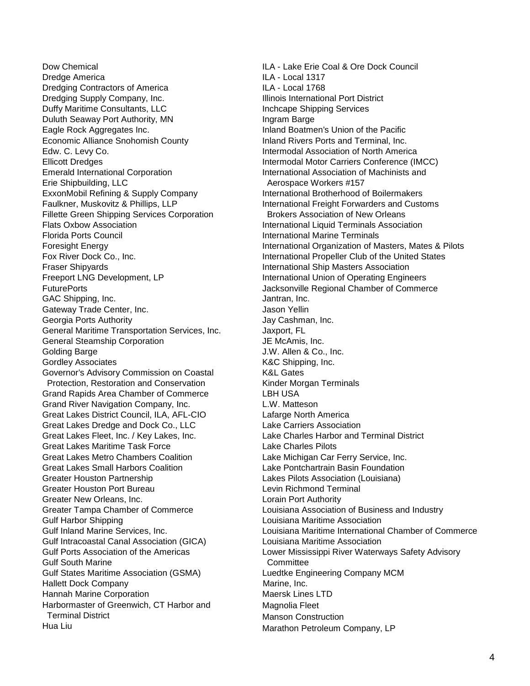Dow Chemical Dredge America Dredging Contractors of America Dredging Supply Company, Inc. Duffy Maritime Consultants, LLC Duluth Seaway Port Authority, MN Eagle Rock Aggregates Inc. Economic Alliance Snohomish County Edw. C. Levy Co. Ellicott Dredges Emerald International Corporation Erie Shipbuilding, LLC ExxonMobil Refining & Supply Company Faulkner, Muskovitz & Phillips, LLP Fillette Green Shipping Services Corporation Flats Oxbow Association Florida Ports Council Foresight Energy Fox River Dock Co., Inc. Fraser Shipyards Freeport LNG Development, LP **FuturePorts** GAC Shipping, Inc. Gateway Trade Center, Inc. Georgia Ports Authority General Maritime Transportation Services, Inc. General Steamship Corporation Golding Barge Gordley Associates Governor's Advisory Commission on Coastal Protection, Restoration and Conservation Grand Rapids Area Chamber of Commerce Grand River Navigation Company, Inc. Great Lakes District Council, ILA, AFL-CIO Great Lakes Dredge and Dock Co., LLC Great Lakes Fleet, Inc. / Key Lakes, Inc. Great Lakes Maritime Task Force Great Lakes Metro Chambers Coalition Great Lakes Small Harbors Coalition Greater Houston Partnership Greater Houston Port Bureau Greater New Orleans, Inc. Greater Tampa Chamber of Commerce Gulf Harbor Shipping Gulf Inland Marine Services, Inc. Gulf Intracoastal Canal Association (GICA) Gulf Ports Association of the Americas Gulf South Marine Gulf States Maritime Association (GSMA) Hallett Dock Company Hannah Marine Corporation Harbormaster of Greenwich, CT Harbor and Terminal District Hua Liu

ILA - Lake Erie Coal & Ore Dock Council ILA - Local 1317 ILA - Local 1768 Illinois International Port District Inchcape Shipping Services Ingram Barge Inland Boatmen's Union of the Pacific Inland Rivers Ports and Terminal, Inc. Intermodal Association of North America Intermodal Motor Carriers Conference (IMCC) International Association of Machinists and Aerospace Workers #157 International Brotherhood of Boilermakers International Freight Forwarders and Customs Brokers Association of New Orleans International Liquid Terminals Association International Marine Terminals International Organization of Masters, Mates & Pilots International Propeller Club of the United States International Ship Masters Association International Union of Operating Engineers Jacksonville Regional Chamber of Commerce Jantran, Inc. Jason Yellin Jay Cashman, Inc. Jaxport, FL JE McAmis, Inc. J.W. Allen & Co., Inc. K&C Shipping, Inc. K&L Gates Kinder Morgan Terminals LBH USA L.W. Matteson Lafarge North America Lake Carriers Association Lake Charles Harbor and Terminal District Lake Charles Pilots Lake Michigan Car Ferry Service, Inc. Lake Pontchartrain Basin Foundation Lakes Pilots Association (Louisiana) Levin Richmond Terminal Lorain Port Authority Louisiana Association of Business and Industry Louisiana Maritime Association Louisiana Maritime International Chamber of Commerce Louisiana Maritime Association Lower Mississippi River Waterways Safety Advisory **Committee** Luedtke Engineering Company MCM Marine, Inc. Maersk Lines LTD Magnolia Fleet Manson Construction Marathon Petroleum Company, LP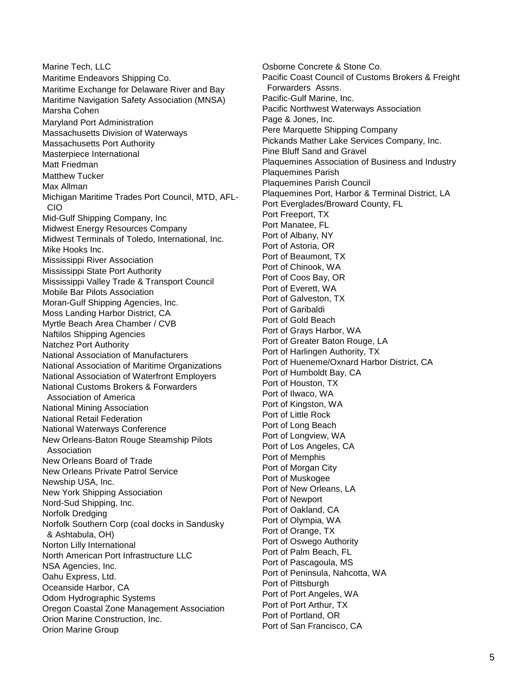Marine Tech, LLC Maritime Endeavors Shipping Co. Maritime Exchange for Delaware River and Bay Maritime Navigation Safety Association (MNSA) Marsha Cohen Maryland Port Administration Massachusetts Division of Waterways Massachusetts Port Authority Masterpiece International Matt Friedman Matthew Tucker Max Allman Michigan Maritime Trades Port Council, MTD, AFL- CIO Mid-Gulf Shipping Company, Inc Midwest Energy Resources Company Midwest Terminals of Toledo, International, Inc. Mike Hooks Inc. Mississippi River Association Mississippi State Port Authority Mississippi Valley Trade & Transport Council Mobile Bar Pilots Association Moran-Gulf Shipping Agencies, Inc. Moss Landing Harbor District, CA Myrtle Beach Area Chamber / CVB Naftilos Shipping Agencies Natchez Port Authority National Association of Manufacturers National Association of Maritime Organizations National Association of Waterfront Employers National Customs Brokers & Forwarders Association of America National Mining Association National Retail Federation National Waterways Conference New Orleans-Baton Rouge Steamship Pilots Association New Orleans Board of Trade New Orleans Private Patrol Service Newship USA, Inc. New York Shipping Association Nord-Sud Shipping, Inc. Norfolk Dredging Norfolk Southern Corp (coal docks in Sandusky & Ashtabula, OH) Norton Lilly International North American Port Infrastructure LLC NSA Agencies, Inc. Oahu Express, Ltd. Oceanside Harbor, CA Odom Hydrographic Systems Oregon Coastal Zone Management Association Orion Marine Construction, Inc. Orion Marine Group

Osborne Concrete & Stone Co. Pacific Coast Council of Customs Brokers & Freight Forwarders Assns. Pacific-Gulf Marine, Inc. Pacific Northwest Waterways Association Page & Jones, Inc. Pere Marquette Shipping Company Pickands Mather Lake Services Company, Inc. Pine Bluff Sand and Gravel Plaquemines Association of Business and Industry Plaquemines Parish Plaquemines Parish Council Plaquemines Port, Harbor & Terminal District, LA Port Everglades/Broward County, FL Port Freeport, TX Port Manatee, FL Port of Albany, NY Port of Astoria, OR Port of Beaumont, TX Port of Chinook, WA Port of Coos Bay, OR Port of Everett, WA Port of Galveston, TX Port of Garibaldi Port of Gold Beach Port of Grays Harbor, WA Port of Greater Baton Rouge, LA Port of Harlingen Authority, TX Port of Hueneme/Oxnard Harbor District, CA Port of Humboldt Bay, CA Port of Houston, TX Port of Ilwaco, WA Port of Kingston, WA Port of Little Rock Port of Long Beach Port of Longview, WA Port of Los Angeles, CA Port of Memphis Port of Morgan City Port of Muskogee Port of New Orleans, LA Port of Newport Port of Oakland, CA Port of Olympia, WA Port of Orange, TX Port of Oswego Authority Port of Palm Beach, FL Port of Pascagoula, MS Port of Peninsula, Nahcotta, WA Port of Pittsburgh Port of Port Angeles, WA Port of Port Arthur, TX Port of Portland, OR Port of San Francisco, CA